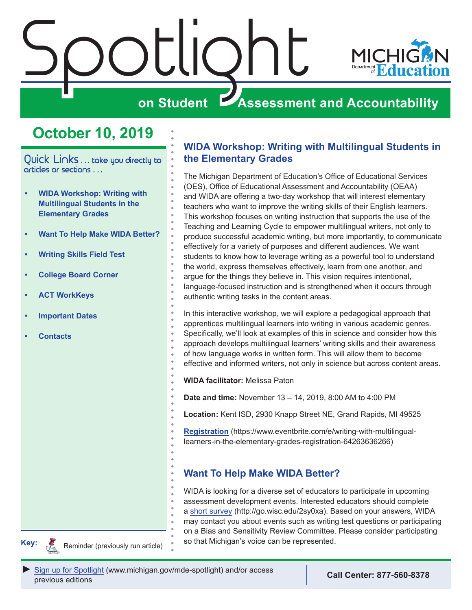<span id="page-0-0"></span>

## **October 10, 2019**

Quick Links . . . take you directly to articles or sections . . .

- **• WIDA Workshop: Writing with Multilingual Students in the Elementary Grades**
- **• Want To Help Make WIDA Better?**
- **• [Writing Skills Field Test](#page-1-0)**
- **• [College Board Corner](#page-2-0)**
- **• [ACT WorkKeys](#page-4-0)**
- **• [Important Dates](#page-5-0)**
- **• [Contacts](#page-7-0)**

## **WIDA Workshop: Writing with Multilingual Students in the Elementary Grades**

The Michigan Department of Education's Office of Educational Services (OES), Office of Educational Assessment and Accountability (OEAA) and WIDA are offering a two-day workshop that will interest elementary teachers who want to improve the writing skills of their English learners. This workshop focuses on writing instruction that supports the use of the Teaching and Learning Cycle to empower multilingual writers, not only to produce successful academic writing, but more importantly, to communicate effectively for a variety of purposes and different audiences. We want students to know how to leverage writing as a powerful tool to understand the world, express themselves effectively, learn from one another, and argue for the things they believe in. This vision requires intentional, language-focused instruction and is strengthened when it occurs through authentic writing tasks in the content areas.

In this interactive workshop, we will explore a pedagogical approach that apprentices multilingual learners into writing in various academic genres. Specifically, we'll look at examples of this in science and consider how this approach develops multilingual learners' writing skills and their awareness of how language works in written form. This will allow them to become effective and informed writers, not only in science but across content areas.

**WIDA facilitator:** Melissa Paton

**Date and time:** November 13 – 14, 2019, 8:00 AM to 4:00 PM

**Location:** Kent ISD, 2930 Knapp Street NE, Grand Rapids, MI 49525

**[Registration](https://www.eventbrite.com/e/writing-with-multilingual-learners-in-the-elementary-grades-registration-64263636266)** (https://www.eventbrite.com/e/writing-with-multilinguallearners-in-the-elementary-grades-registration-64263636266)

## **Want To Help Make WIDA Better?**

WIDA is looking for a diverse set of educators to participate in upcoming assessment development events. Interested educators should complete a [short survey](http://go.wisc.edu/2sy0xa) (http://go.wisc.edu/2sy0xa). Based on your answers, WIDA may contact you about events such as writing test questions or participating on a Bias and Sensitivity Review Committee. Please consider participating **Key: So that Michigan's voice can be represented.** So that Michigan's voice can be represented.

Reminders

Reminder (previously run article)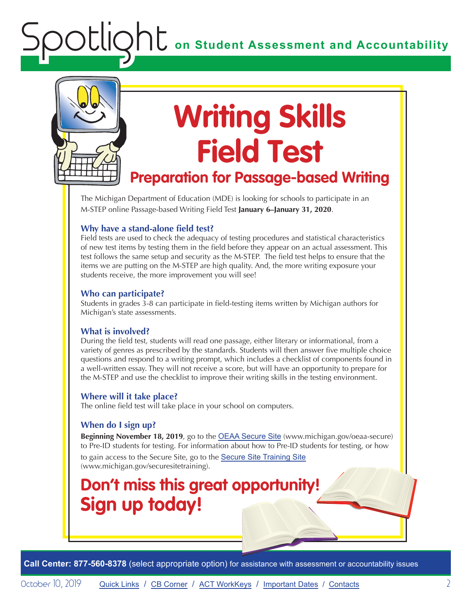<span id="page-1-0"></span>

# **Writing Skills Field Test**

## **Preparation for Passage-based Writing**

The Michigan Department of Education (MDE) is looking for schools to participate in an M-STEP online Passage-based Writing Field Test **January 6–January 31, 2020**.

### **Why have a stand-alone field test?**

Field tests are used to check the adequacy of testing procedures and statistical characteristics of new test items by testing them in the field before they appear on an actual assessment. This test follows the same setup and security as the M-STEP. The field test helps to ensure that the items we are putting on the M-STEP are high quality. And, the more writing exposure your students receive, the more improvement you will see!

#### **Who can participate?**

Students in grades 3-8 can participate in field-testing items written by Michigan authors for Michigan's state assessments.

#### **What is involved?**

During the field test, students will read one passage, either literary or informational, from a variety of genres as prescribed by the standards. Students will then answer five multiple choice questions and respond to a writing prompt, which includes a checklist of components found in a well-written essay. They will not receive a score, but will have an opportunity to prepare for the M-STEP and use the checklist to improve their writing skills in the testing environment.

#### **Where will it take place?**

The online field test will take place in your school on computers.

#### **When do I sign up?**

**Beginning November 18, 2019**, go to the [OEAA Secure Site](http://www.michigan.gov/oeaa-secure) (www.michigan.gov/oeaa-secure) to Pre-ID students for testing. For information about how to Pre-ID students for testing, or how

to gain access to the Secure Site, go to the [Secure Site Training Site](http://www.michigan.gov/securesitetraining) (www.michigan.gov/securesitetraining).

## **Don't miss this great opportunity! Sign up today!**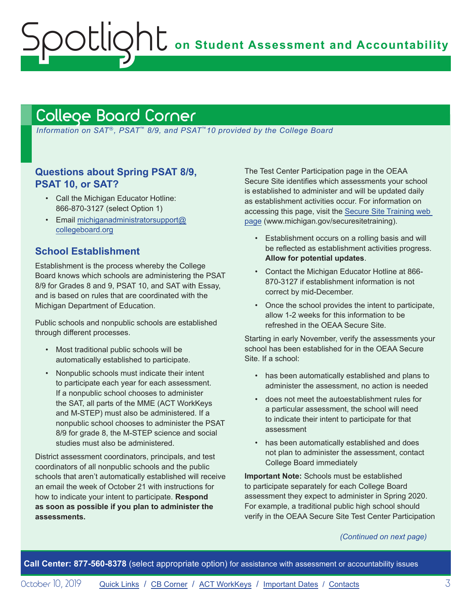**on Student Assessment and Accountability**

## <span id="page-2-1"></span>College Board Corner

<span id="page-2-0"></span>Spotlight

*Information on SAT*®*, PSAT*™ *8/9, and PSAT*™*10 provided by the College Board*

## **Questions about Spring PSAT 8/9, PSAT 10, or SAT?**

- Call the Michigan Educator Hotline: 866-870-3127 (select Option 1)
- Email [michiganadministratorsupport@](mailto:michiganadministratorsupport%40collegeboard.org?subject=) [collegeboard.org](mailto:michiganadministratorsupport%40collegeboard.org?subject=)

## **School Establishment**

Establishment is the process whereby the College Board knows which schools are administering the PSAT 8/9 for Grades 8 and 9, PSAT 10, and SAT with Essay, and is based on rules that are coordinated with the Michigan Department of Education.

Public schools and nonpublic schools are established through different processes.

- Most traditional public schools will be automatically established to participate.
- Nonpublic schools must indicate their intent to participate each year for each assessment. If a nonpublic school chooses to administer the SAT, all parts of the MME (ACT WorkKeys and M-STEP) must also be administered. If a nonpublic school chooses to administer the PSAT 8/9 for grade 8, the M-STEP science and social studies must also be administered.

District assessment coordinators, principals, and test coordinators of all nonpublic schools and the public schools that aren't automatically established will receive an email the week of October 21 with instructions for how to indicate your intent to participate. **Respond as soon as possible if you plan to administer the assessments.**

The Test Center Participation page in the OEAA Secure Site identifies which assessments your school is established to administer and will be updated daily as establishment activities occur. For information on accessing this page, visit the [Secure Site Training web](http://www.michigan.gov/securesitetraining)  [page](http://www.michigan.gov/securesitetraining) (www.michigan.gov/securesitetraining).

- Establishment occurs on a rolling basis and will be reflected as establishment activities progress. **Allow for potential updates**.
- Contact the Michigan Educator Hotline at 866- 870-3127 if establishment information is not correct by mid-December.
- Once the school provides the intent to participate, allow 1-2 weeks for this information to be refreshed in the OEAA Secure Site.

Starting in early November, verify the assessments your school has been established for in the OEAA Secure Site. If a school:

- has been automatically established and plans to administer the assessment, no action is needed
- does not meet the autoestablishment rules for a particular assessment, the school will need to indicate their intent to participate for that assessment
- has been automatically established and does not plan to administer the assessment, contact College Board immediately

**Important Note:** Schools must be established to participate separately for each College Board assessment they expect to administer in Spring 2020. For example, a traditional public high school should verify in the OEAA Secure Site Test Center Participation

*(Continued on next page)*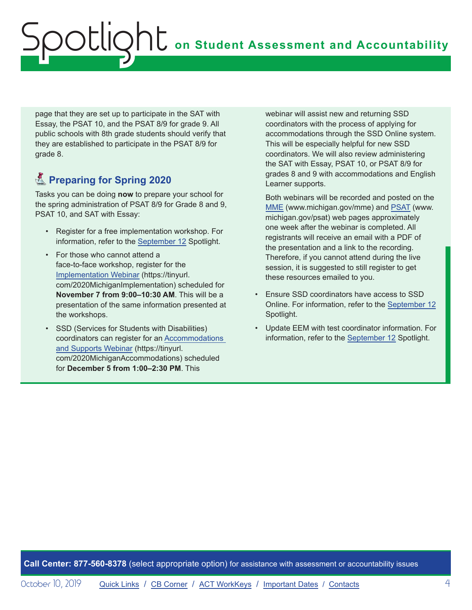page that they are set up to participate in the SAT with Essay, the PSAT 10, and the PSAT 8/9 for grade 9. All public schools with 8th grade students should verify that they are established to participate in the PSAT 8/9 for grade 8.

## **K** Preparing for Spring 2020

Tasks you can be doing **now** to prepare your school for the spring administration of PSAT 8/9 for Grade 8 and 9, PSAT 10, and SAT with Essay:

- Register for a free implementation workshop. For information, refer to the [September 12](https://www.michigan.gov/documents/mde/Spotlight_9-12-19_665733_7.pdf) Spotlight.
- For those who cannot attend a face-to-face workshop, register for the [Implementation Webinar](https://tinyurl.com/2020MichiganImplementation) (https://tinyurl. com/2020MichiganImplementation) scheduled for **November 7 from 9:00–10:30 AM**. This will be a presentation of the same information presented at the workshops.
- SSD (Services for Students with Disabilities) coordinators can register for an [Accommodations](https://tinyurl.com/2020MichiganAccommodations)  [and Supports Webinar](https://tinyurl.com/2020MichiganAccommodations) (https://tinyurl. com/2020MichiganAccommodations) scheduled for **December 5 from 1:00–2:30 PM**. This

webinar will assist new and returning SSD coordinators with the process of applying for accommodations through the SSD Online system. This will be especially helpful for new SSD coordinators. We will also review administering the SAT with Essay, PSAT 10, or PSAT 8/9 for grades 8 and 9 with accommodations and English Learner supports.

Both webinars will be recorded and posted on the [MME](www.michigan.gov/mme) (www.michigan.gov/mme) and [PSAT](http://www.michigan.gov/psat) (www. michigan.gov/psat) web pages approximately one week after the webinar is completed. All registrants will receive an email with a PDF of the presentation and a link to the recording. Therefore, if you cannot attend during the live session, it is suggested to still register to get these resources emailed to you.

- Ensure SSD coordinators have access to SSD Online. For information, refer to the [September 12](https://www.michigan.gov/documents/mde/Spotlight_9-12-19_665733_7.pdf) Spotlight.
- Update EEM with test coordinator information. For information, refer to the [September 12](https://www.michigan.gov/documents/mde/Spotlight_9-12-19_665733_7.pdf) Spotlight.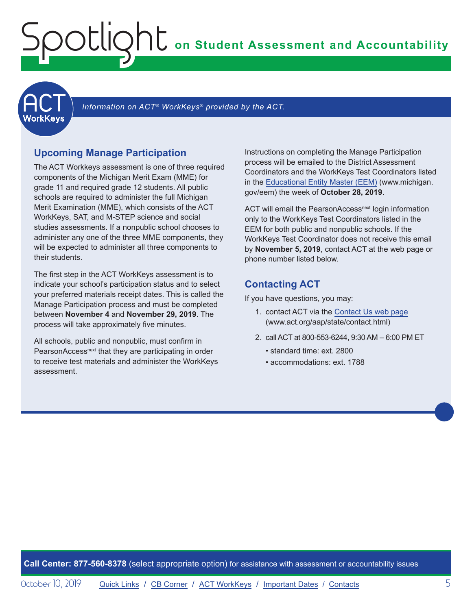<span id="page-4-1"></span><span id="page-4-0"></span>

Information on ACT<sup>®</sup> WorkKeys<sup>®</sup> provided by the ACT.

### **Upcoming Manage Participation**

The ACT Workkeys assessment is one of three required components of the Michigan Merit Exam (MME) for grade 11 and required grade 12 students. All public schools are required to administer the full Michigan Merit Examination (MME), which consists of the ACT WorkKeys, SAT, and M-STEP science and social studies assessments. If a nonpublic school chooses to administer any one of the three MME components, they will be expected to administer all three components to their students.

The first step in the ACT WorkKeys assessment is to indicate your school's participation status and to select your preferred materials receipt dates. This is called the Manage Participation process and must be completed between **November 4** and **November 29, 2019**. The process will take approximately five minutes.

All schools, public and nonpublic, must confirm in PearsonAccess<sup>next</sup> that they are participating in order to receive test materials and administer the WorkKeys assessment.

Instructions on completing the Manage Participation process will be emailed to the District Assessment Coordinators and the WorkKeys Test Coordinators listed in the [Educational Entity Master \(EEM\)](www.michigan.gov/EEM) (www.michigan. gov/eem) the week of **October 28, 2019**.

ACT will email the PearsonAccess<sup>next</sup> login information only to the WorkKeys Test Coordinators listed in the EEM for both public and nonpublic schools. If the WorkKeys Test Coordinator does not receive this email by **November 5, 2019**, contact ACT at the web page or phone number listed below.

### **Contacting ACT**

If you have questions, you may:

- 1. contact ACT via the [Contact Us web page](http://www.act.org/aap/state/contact.html) ([www.act.org/aap/state/contact.html](https://www.act.org/aap/state/contact.html))
- 2. call ACT at 800-553-6244, 9:30 AM 6:00 PM ET
	- standard time: ext. 2800
	- accommodations: ext. 1788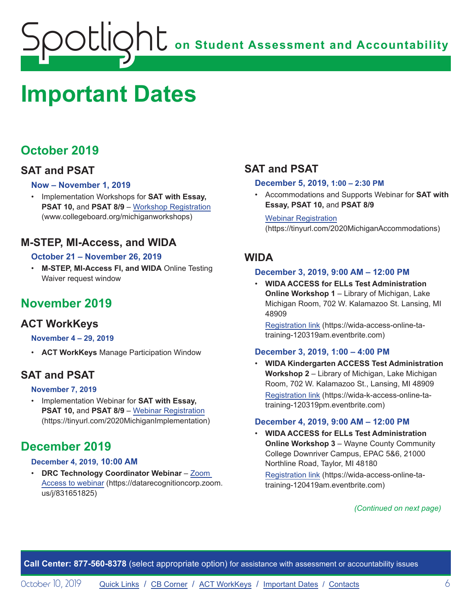## <span id="page-5-1"></span><span id="page-5-0"></span>**Important Dates**

## **October 2019**

## **SAT and PSAT**

### **Now – November 1, 2019**

• Implementation Workshops for **SAT with Essay, PSAT 10, and PSAT 8/9 – [Workshop Registration](http://www.collegeboard.org/michiganworkshops)** (www.collegeboard.org/michiganworkshops)

## **M-STEP, MI-Access, and WIDA**

### **October 21 – November 26, 2019**

• **M-STEP, MI-Access FI, and WIDA** Online Testing Waiver request window

## **November 2019**

## **ACT WorkKeys**

#### **November 4 – 29, 2019**

• **ACT WorkKeys** Manage Participation Window

## **SAT and PSAT**

#### **November 7, 2019**

• Implementation Webinar for **SAT with Essay, PSAT 10,** and **PSAT 8/9** – [Webinar Registration](https://tinyurl.com/2020MichiganImplementation) (https://tinyurl.com/2020MichiganImplementation)

## **December 2019**

#### **December 4, 2019, 10:00 AM**

• **DRC Technology Coordinator Webinar** – [Zoom](https://datarecognitioncorp.zoom.us/j/831651825)  [Access to webinar](https://datarecognitioncorp.zoom.us/j/831651825) (https://datarecognitioncorp.zoom. us/j/831651825)

## **SAT and PSAT**

#### **December 5, 2019, 1:00 – 2:30 PM**

• Accommodations and Supports Webinar for **SAT with Essay, PSAT 10,** and **PSAT 8/9**

Webinar [Registration](https://tinyurl.com/2020MichiganAccommodations) (https://tinyurl.com/2020MichiganAccommodations)

## **WIDA**

#### **December 3, 2019, 9:00 AM – 12:00 PM**

• **WIDA ACCESS for ELLs Test Administration Online Workshop 1** – Library of Michigan, Lake Michigan Room, 702 W. Kalamazoo St. Lansing, MI 48909

[Registration link](https://wida-access-online-ta-training-120319am.eventbrite.com) (https://wida-access-online-tatraining-120319am.eventbrite.com)

#### **December 3, 2019, 1:00 – 4:00 PM**

• **WIDA Kindergarten ACCESS Test Administration Workshop 2** – Library of Michigan, Lake Michigan Room, 702 W. Kalamazoo St., Lansing, MI 48909 [Registration link](https://wida-k-access-online-ta-training-120319pm.eventbrite.com) (https://wida-k-access-online-tatraining-120319pm.eventbrite.com)

#### **December 4, 2019, 9:00 AM – 12:00 PM**

• **WIDA ACCESS for ELLs Test Administration Online Workshop 3** – Wayne County Community College Downriver Campus, EPAC 5&6, 21000 Northline Road, Taylor, MI 48180

[Registration link](https://wida-access-online-ta-training-120419am.eventbrite.com) (https://wida-access-online-tatraining-120419am.eventbrite.com)

#### *(Continued on next page)*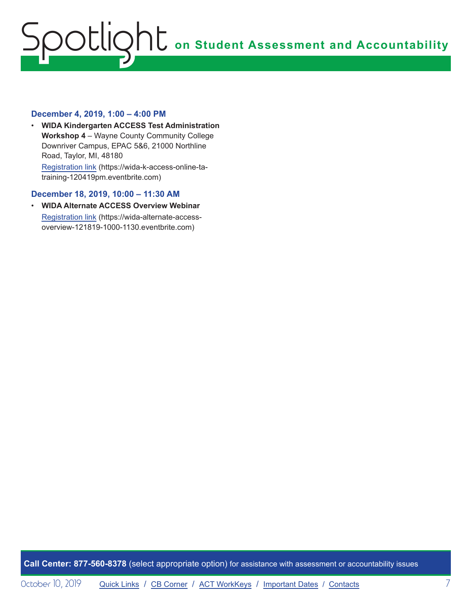#### **December 4, 2019, 1:00 – 4:00 PM**

• **WIDA Kindergarten ACCESS Test Administration Workshop 4** – Wayne County Community College Downriver Campus, EPAC 5&6, 21000 Northline Road, Taylor, MI, 48180 [Registration link](https://wida-k-access-online-ta-training-120419pm.eventbrite.com) (https://wida-k-access-online-tatraining-120419pm.eventbrite.com)

#### **December 18, 2019, 10:00 – 11:30 AM**

• **WIDA Alternate ACCESS Overview Webinar** [Registration link](https://wida-alternate-access-overview-121819-1000-1130.eventbrite.com) (https://wida-alternate-accessoverview-121819-1000-1130.eventbrite.com)